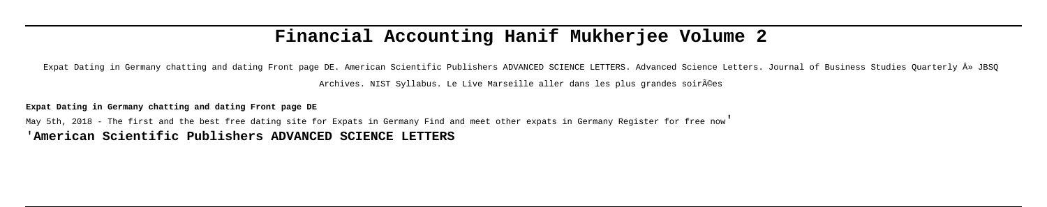# **Financial Accounting Hanif Mukherjee Volume 2**

Expat Dating in Germany chatting and dating Front page DE. American Scientific Publishers ADVANCED SCIENCE LETTERS. Advanced Science Letters. Journal of Business Studies Quarterly » JBSQ

Archives. NIST Syllabus. Le Live Marseille aller dans les plus grandes soirées

**Expat Dating in Germany chatting and dating Front page DE**

May 5th, 2018 - The first and the best free dating site for Expats in Germany Find and meet other expats in Germany Register for free now' '**American Scientific Publishers ADVANCED SCIENCE LETTERS**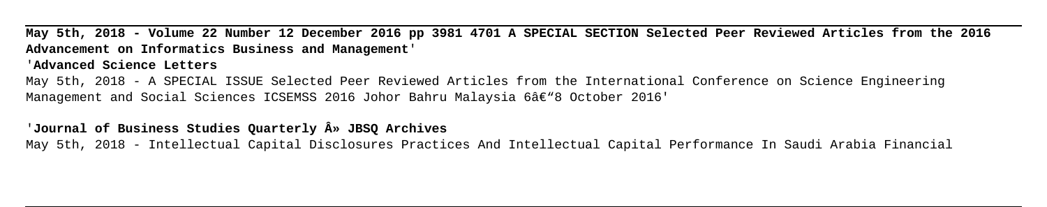**May 5th, 2018 - Volume 22 Number 12 December 2016 pp 3981 4701 A SPECIAL SECTION Selected Peer Reviewed Articles from the 2016 Advancement on Informatics Business and Management**' '**Advanced Science Letters** May 5th, 2018 - A SPECIAL ISSUE Selected Peer Reviewed Articles from the International Conference on Science Engineering Management and Social Sciences ICSEMSS 2016 Johor Bahru Malaysia 6â€"8 October 2016'

## '**Journal of Business Studies Quarterly » JBSQ Archives**

May 5th, 2018 - Intellectual Capital Disclosures Practices And Intellectual Capital Performance In Saudi Arabia Financial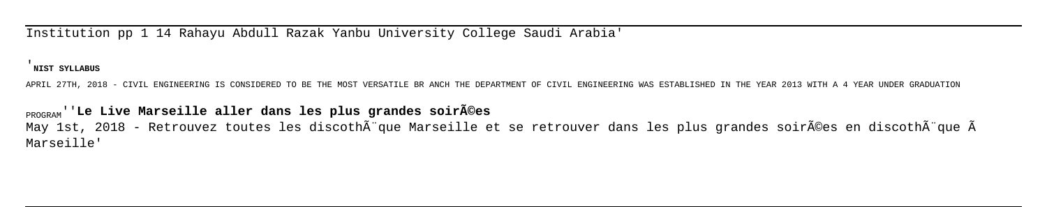Institution pp 1 14 Rahayu Abdull Razak Yanbu University College Saudi Arabia'

'**NIST SYLLABUS**

APRIL 27TH, 2018 - CIVIL ENGINEERING IS CONSIDERED TO BE THE MOST VERSATILE BR ANCH THE DEPARTMENT OF CIVIL ENGINEERING WAS ESTABLISHED IN THE YEAR 2013 WITH A 4 YEAR UNDER GRADUATION

**PROGRAM'**'Le Live Marseille aller dans les plus grandes soir $\widetilde{A}$ ©es May 1st, 2018 - Retrouvez toutes les discothà que Marseille et se retrouver dans les plus grandes soirées en discothà que Ã Marseille'